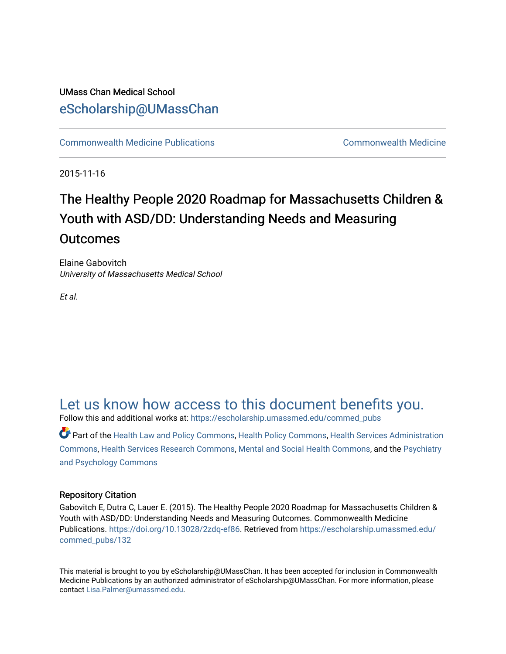## UMass Chan Medical School [eScholarship@UMassChan](https://escholarship.umassmed.edu/)

[Commonwealth Medicine Publications](https://escholarship.umassmed.edu/commed_pubs) [Commonwealth Medicine](https://escholarship.umassmed.edu/commed) 

2015-11-16

## The Healthy People 2020 Roadmap for Massachusetts Children & Youth with ASD/DD: Understanding Needs and Measuring Outcomes

Elaine Gabovitch University of Massachusetts Medical School

Et al.

## [Let us know how access to this document benefits you.](https://arcsapps.umassmed.edu/redcap/surveys/?s=XWRHNF9EJE)

Follow this and additional works at: [https://escholarship.umassmed.edu/commed\\_pubs](https://escholarship.umassmed.edu/commed_pubs?utm_source=escholarship.umassmed.edu%2Fcommed_pubs%2F132&utm_medium=PDF&utm_campaign=PDFCoverPages)

Part of the [Health Law and Policy Commons](http://network.bepress.com/hgg/discipline/901?utm_source=escholarship.umassmed.edu%2Fcommed_pubs%2F132&utm_medium=PDF&utm_campaign=PDFCoverPages), [Health Policy Commons](http://network.bepress.com/hgg/discipline/395?utm_source=escholarship.umassmed.edu%2Fcommed_pubs%2F132&utm_medium=PDF&utm_campaign=PDFCoverPages), [Health Services Administration](http://network.bepress.com/hgg/discipline/747?utm_source=escholarship.umassmed.edu%2Fcommed_pubs%2F132&utm_medium=PDF&utm_campaign=PDFCoverPages)  [Commons](http://network.bepress.com/hgg/discipline/747?utm_source=escholarship.umassmed.edu%2Fcommed_pubs%2F132&utm_medium=PDF&utm_campaign=PDFCoverPages), [Health Services Research Commons](http://network.bepress.com/hgg/discipline/816?utm_source=escholarship.umassmed.edu%2Fcommed_pubs%2F132&utm_medium=PDF&utm_campaign=PDFCoverPages), [Mental and Social Health Commons](http://network.bepress.com/hgg/discipline/709?utm_source=escholarship.umassmed.edu%2Fcommed_pubs%2F132&utm_medium=PDF&utm_campaign=PDFCoverPages), and the [Psychiatry](http://network.bepress.com/hgg/discipline/908?utm_source=escholarship.umassmed.edu%2Fcommed_pubs%2F132&utm_medium=PDF&utm_campaign=PDFCoverPages) [and Psychology Commons](http://network.bepress.com/hgg/discipline/908?utm_source=escholarship.umassmed.edu%2Fcommed_pubs%2F132&utm_medium=PDF&utm_campaign=PDFCoverPages) 

## Repository Citation

Gabovitch E, Dutra C, Lauer E. (2015). The Healthy People 2020 Roadmap for Massachusetts Children & Youth with ASD/DD: Understanding Needs and Measuring Outcomes. Commonwealth Medicine Publications.<https://doi.org/10.13028/2zdq-ef86>. Retrieved from [https://escholarship.umassmed.edu/](https://escholarship.umassmed.edu/commed_pubs/132?utm_source=escholarship.umassmed.edu%2Fcommed_pubs%2F132&utm_medium=PDF&utm_campaign=PDFCoverPages) [commed\\_pubs/132](https://escholarship.umassmed.edu/commed_pubs/132?utm_source=escholarship.umassmed.edu%2Fcommed_pubs%2F132&utm_medium=PDF&utm_campaign=PDFCoverPages) 

This material is brought to you by eScholarship@UMassChan. It has been accepted for inclusion in Commonwealth Medicine Publications by an authorized administrator of eScholarship@UMassChan. For more information, please contact [Lisa.Palmer@umassmed.edu.](mailto:Lisa.Palmer@umassmed.edu)